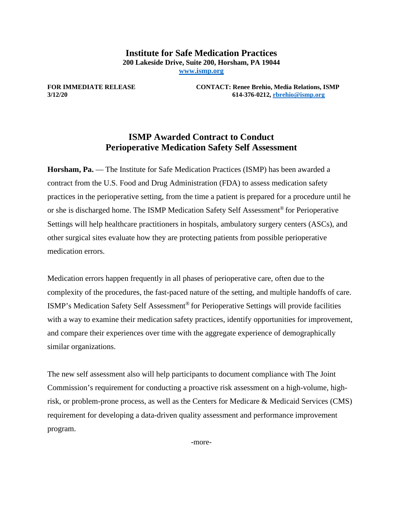**Institute for Safe Medication Practices 200 Lakeside Drive, Suite 200, Horsham, PA 19044 [www.ismp.org](http://www.ismp.org/)**

**FOR IMMEDIATE RELEASE CONTACT: Renee Brehio, Media Relations, ISMP 3/12/20 614-376-0212[, rbrehio@ismp.org](mailto:rbrehio@ismp.org)**

## **ISMP Awarded Contract to Conduct Perioperative Medication Safety Self Assessment**

**Horsham, Pa.** — The Institute for Safe Medication Practices (ISMP) has been awarded a contract from the U.S. Food and Drug Administration (FDA) to assess medication safety practices in the perioperative setting, from the time a patient is prepared for a procedure until he or she is discharged home. The ISMP Medication Safety Self Assessment® for Perioperative Settings will help healthcare practitioners in hospitals, ambulatory surgery centers (ASCs), and other surgical sites evaluate how they are protecting patients from possible perioperative medication errors.

Medication errors happen frequently in all phases of perioperative care, often due to the complexity of the procedures, the fast-paced nature of the setting, and multiple handoffs of care. ISMP's Medication Safety Self Assessment® for Perioperative Settings will provide facilities with a way to examine their medication safety practices, identify opportunities for improvement, and compare their experiences over time with the aggregate experience of demographically similar organizations.

The new self assessment also will help participants to document compliance with The Joint Commission's requirement for conducting a proactive risk assessment on a high-volume, highrisk, or problem-prone process, as well as the Centers for Medicare & Medicaid Services (CMS) requirement for developing a data-driven quality assessment and performance improvement program.

-more-